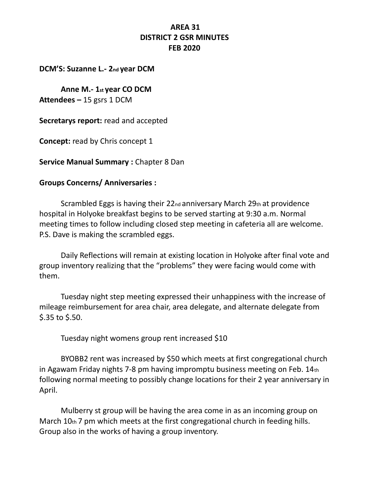## **AREA 31 DISTRICT 2 GSR MINUTES FEB 2020**

**DCM'S: Suzanne L.- 2nd year DCM** 

**Anne M.- 1st year CO DCM Attendees –** 15 gsrs 1 DCM

**Secretarys report:** read and accepted

**Concept:** read by Chris concept 1

**Service Manual Summary :** Chapter 8 Dan

#### **Groups Concerns/ Anniversaries :**

Scrambled Eggs is having their 22nd anniversary March 29th at providence hospital in Holyoke breakfast begins to be served starting at 9:30 a.m. Normal meeting times to follow including closed step meeting in cafeteria all are welcome. P.S. Dave is making the scrambled eggs.

Daily Reflections will remain at existing location in Holyoke after final vote and group inventory realizing that the "problems" they were facing would come with them.

Tuesday night step meeting expressed their unhappiness with the increase of mileage reimbursement for area chair, area delegate, and alternate delegate from \$.35 to \$.50.

Tuesday night womens group rent increased \$10

BYOBB2 rent was increased by \$50 which meets at first congregational church in Agawam Friday nights 7-8 pm having impromptu business meeting on Feb. 14th following normal meeting to possibly change locations for their 2 year anniversary in April.

Mulberry st group will be having the area come in as an incoming group on March 10th 7 pm which meets at the first congregational church in feeding hills. Group also in the works of having a group inventory.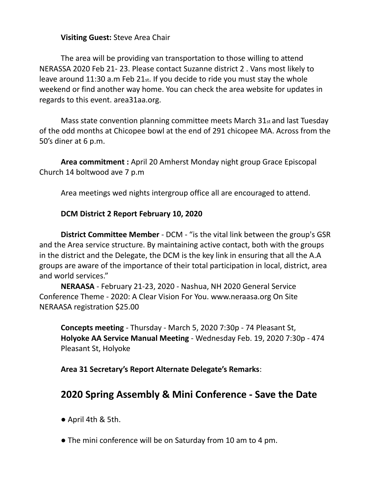### **Visiting Guest:** Steve Area Chair

The area will be providing van transportation to those willing to attend NERASSA 2020 Feb 21- 23. Please contact Suzanne district 2 . Vans most likely to leave around 11:30 a.m Feb 21st. If you decide to ride you must stay the whole weekend or find another way home. You can check the area website for updates in regards to this event. area31aa.org.

Mass state convention planning committee meets March 31st and last Tuesday of the odd months at Chicopee bowl at the end of 291 chicopee MA. Across from the 50's diner at 6 p.m.

**Area commitment :** April 20 Amherst Monday night group Grace Episcopal Church 14 boltwood ave 7 p.m

Area meetings wed nights intergroup office all are encouraged to attend.

#### **DCM District 2 Report February 10, 2020**

**District Committee Member** - DCM - "is the vital link between the group's GSR and the Area service structure. By maintaining active contact, both with the groups in the district and the Delegate, the DCM is the key link in ensuring that all the A.A groups are aware of the importance of their total participation in local, district, area and world services."

**NERAASA** - February 21-23, 2020 - Nashua, NH 2020 General Service Conference Theme - 2020: A Clear Vision For You. www.neraasa.org On Site NERAASA registration \$25.00

**Concepts meeting** - Thursday - March 5, 2020 7:30p - 74 Pleasant St, **Holyoke AA Service Manual Meeting** - Wednesday Feb. 19, 2020 7:30p - 474 Pleasant St, Holyoke

**Area 31 Secretary's Report Alternate Delegate's Remarks**:

# **2020 Spring Assembly & Mini Conference - Save the Date**

- April 4th & 5th.
- The mini conference will be on Saturday from 10 am to 4 pm.